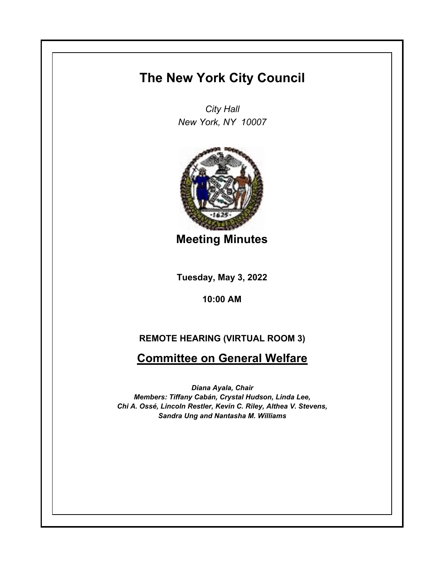## **The New York City Council**

*City Hall New York, NY 10007*



**Meeting Minutes**

**Tuesday, May 3, 2022**

**10:00 AM**

## **REMOTE HEARING (VIRTUAL ROOM 3)**

## **Committee on General Welfare**

*Diana Ayala, Chair Members: Tiffany Cabán, Crystal Hudson, Linda Lee, Chi A. Ossé, Lincoln Restler, Kevin C. Riley, Althea V. Stevens, Sandra Ung and Nantasha M. Williams*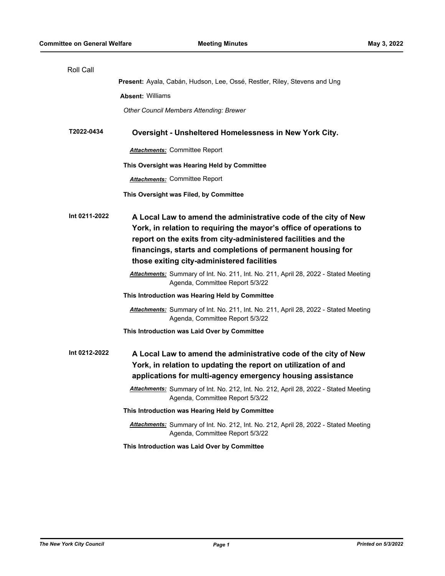| Roll Call     |                                                                                                                                                                                                                                                                                                                     |
|---------------|---------------------------------------------------------------------------------------------------------------------------------------------------------------------------------------------------------------------------------------------------------------------------------------------------------------------|
|               | Present: Ayala, Cabán, Hudson, Lee, Ossé, Restler, Riley, Stevens and Ung                                                                                                                                                                                                                                           |
|               | <b>Absent: Williams</b>                                                                                                                                                                                                                                                                                             |
|               | <b>Other Council Members Attending: Brewer</b>                                                                                                                                                                                                                                                                      |
|               |                                                                                                                                                                                                                                                                                                                     |
| T2022-0434    | Oversight - Unsheltered Homelessness in New York City.                                                                                                                                                                                                                                                              |
|               | <b>Attachments: Committee Report</b>                                                                                                                                                                                                                                                                                |
|               | This Oversight was Hearing Held by Committee                                                                                                                                                                                                                                                                        |
|               | <b>Attachments: Committee Report</b>                                                                                                                                                                                                                                                                                |
|               | This Oversight was Filed, by Committee                                                                                                                                                                                                                                                                              |
| Int 0211-2022 | A Local Law to amend the administrative code of the city of New<br>York, in relation to requiring the mayor's office of operations to<br>report on the exits from city-administered facilities and the<br>financings, starts and completions of permanent housing for<br>those exiting city-administered facilities |
|               | Attachments: Summary of Int. No. 211, Int. No. 211, April 28, 2022 - Stated Meeting<br>Agenda, Committee Report 5/3/22                                                                                                                                                                                              |
|               | This Introduction was Hearing Held by Committee                                                                                                                                                                                                                                                                     |
|               | Attachments: Summary of Int. No. 211, Int. No. 211, April 28, 2022 - Stated Meeting<br>Agenda, Committee Report 5/3/22                                                                                                                                                                                              |
|               | This Introduction was Laid Over by Committee                                                                                                                                                                                                                                                                        |
| Int 0212-2022 | A Local Law to amend the administrative code of the city of New<br>York, in relation to updating the report on utilization of and<br>applications for multi-agency emergency housing assistance                                                                                                                     |
|               | Attachments: Summary of Int. No. 212, Int. No. 212, April 28, 2022 - Stated Meeting<br>Agenda, Committee Report 5/3/22                                                                                                                                                                                              |
|               | This Introduction was Hearing Held by Committee                                                                                                                                                                                                                                                                     |
|               | Attachments: Summary of Int. No. 212, Int. No. 212, April 28, 2022 - Stated Meeting<br>Agenda, Committee Report 5/3/22                                                                                                                                                                                              |
|               | This Introduction was Laid Over by Committee                                                                                                                                                                                                                                                                        |